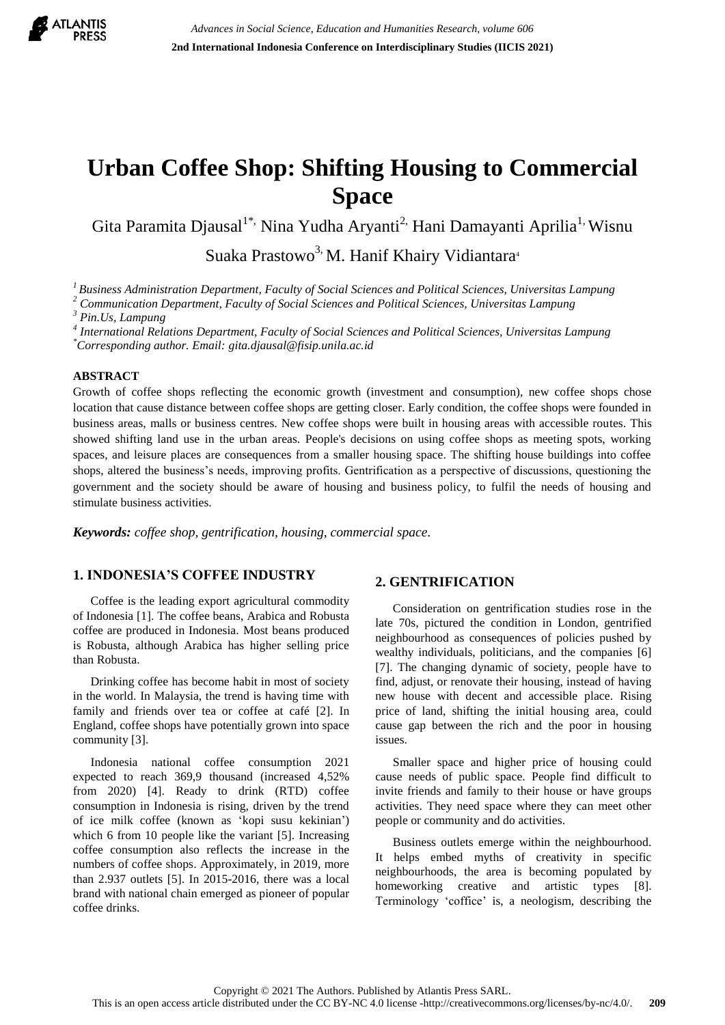

# **Urban Coffee Shop: Shifting Housing to Commercial Space**

Gita Paramita Djausal<sup>1\*,</sup> Nina Yudha Aryanti<sup>2,</sup> Hani Damayanti Aprilia<sup>1,</sup> Wisnu

Suaka Prastowo<sup>3,</sup> M. Hanif Khairy Vidiantara<sup>4</sup>

*<sup>1</sup>Business Administration Department, Faculty of Social Sciences and Political Sciences, Universitas Lampung*

*<sup>2</sup> Communication Department, Faculty of Social Sciences and Political Sciences, Universitas Lampung*

*<sup>3</sup> Pin.Us, Lampung*

*4 International Relations Department, Faculty of Social Sciences and Political Sciences, Universitas Lampung*

*\*Corresponding author. Email: gita.djausal@fisip.unila.ac.id*

## **ABSTRACT**

Growth of coffee shops reflecting the economic growth (investment and consumption), new coffee shops chose location that cause distance between coffee shops are getting closer. Early condition, the coffee shops were founded in business areas, malls or business centres. New coffee shops were built in housing areas with accessible routes. This showed shifting land use in the urban areas. People's decisions on using coffee shops as meeting spots, working spaces, and leisure places are consequences from a smaller housing space. The shifting house buildings into coffee shops, altered the business"s needs, improving profits. Gentrification as a perspective of discussions, questioning the government and the society should be aware of housing and business policy, to fulfil the needs of housing and stimulate business activities.

*Keywords: coffee shop, gentrification, housing, commercial space.*

# **1. INDONESIA'S COFFEE INDUSTRY**

Coffee is the leading export agricultural commodity of Indonesia [1]. The coffee beans, Arabica and Robusta coffee are produced in Indonesia. Most beans produced is Robusta, although Arabica has higher selling price than Robusta.

Drinking coffee has become habit in most of society in the world. In Malaysia, the trend is having time with family and friends over tea or coffee at café [2]. In England, coffee shops have potentially grown into space community [3].

Indonesia national coffee consumption 2021 expected to reach 369,9 thousand (increased 4,52% from 2020) [4]. Ready to drink (RTD) coffee consumption in Indonesia is rising, driven by the trend of ice milk coffee (known as "kopi susu kekinian") which 6 from 10 people like the variant [5]. Increasing coffee consumption also reflects the increase in the numbers of coffee shops. Approximately, in 2019, more than 2.937 outlets [5]. In 2015-2016, there was a local brand with national chain emerged as pioneer of popular coffee drinks.

# **2. GENTRIFICATION**

Consideration on gentrification studies rose in the late 70s, pictured the condition in London, gentrified neighbourhood as consequences of policies pushed by wealthy individuals, politicians, and the companies [6] [7]. The changing dynamic of society, people have to find, adjust, or renovate their housing, instead of having new house with decent and accessible place. Rising price of land, shifting the initial housing area, could cause gap between the rich and the poor in housing issues.

Smaller space and higher price of housing could cause needs of public space. People find difficult to invite friends and family to their house or have groups activities. They need space where they can meet other people or community and do activities.

Business outlets emerge within the neighbourhood. It helps embed myths of creativity in specific neighbourhoods, the area is becoming populated by homeworking creative and artistic types [8]. Terminology "coffice" is, a neologism, describing the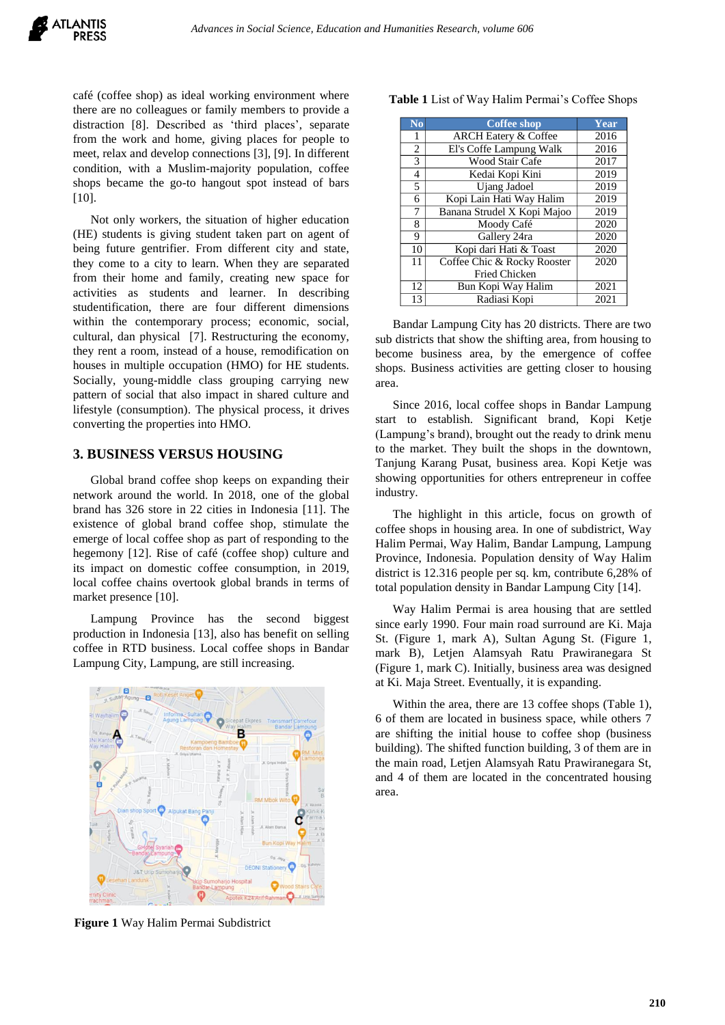café (coffee shop) as ideal working environment where there are no colleagues or family members to provide a distraction [8]. Described as 'third places', separate from the work and home, giving places for people to meet, relax and develop connections [3], [9]. In different condition, with a Muslim-majority population, coffee shops became the go-to hangout spot instead of bars [10].

Not only workers, the situation of higher education (HE) students is giving student taken part on agent of being future gentrifier. From different city and state, they come to a city to learn. When they are separated from their home and family, creating new space for activities as students and learner. In describing studentification, there are four different dimensions within the contemporary process; economic, social, cultural, dan physical [7]. Restructuring the economy, they rent a room, instead of a house, remodification on houses in multiple occupation (HMO) for HE students. Socially, young-middle class grouping carrying new pattern of social that also impact in shared culture and lifestyle (consumption). The physical process, it drives converting the properties into HMO.

#### **3. BUSINESS VERSUS HOUSING**

Global brand coffee shop keeps on expanding their network around the world. In 2018, one of the global brand has 326 store in 22 cities in Indonesia [11]. The existence of global brand coffee shop, stimulate the emerge of local coffee shop as part of responding to the hegemony [12]. Rise of café (coffee shop) culture and its impact on domestic coffee consumption, in 2019, local coffee chains overtook global brands in terms of market presence [10].

Lampung Province has the second biggest production in Indonesia [13], also has benefit on selling coffee in RTD business. Local coffee shops in Bandar Lampung City, Lampung, are still increasing.



**Figure 1** Way Halim Permai Subdistrict

| N <sub>0</sub> | <b>Coffee shop</b>              | Year |
|----------------|---------------------------------|------|
| 1              | <b>ARCH Eatery &amp; Coffee</b> | 2016 |
| $\overline{2}$ | El's Coffe Lampung Walk         | 2016 |
| 3              | Wood Stair Cafe                 | 2017 |
| 4              | Kedai Kopi Kini                 | 2019 |
| 5              | Ujang Jadoel                    | 2019 |
| 6              | Kopi Lain Hati Way Halim        | 2019 |
| 7              | Banana Strudel X Kopi Majoo     | 2019 |
| 8              | Moody Café                      | 2020 |
| 9              | Gallery 24ra                    | 2020 |
| 10             | Kopi dari Hati & Toast          | 2020 |
| 11             | Coffee Chic & Rocky Rooster     | 2020 |
|                | <b>Fried Chicken</b>            |      |
| 12             | Bun Kopi Way Halim              | 2021 |
| 13             | Radiasi Kopi                    | 2021 |

Table 1 List of Way Halim Permai's Coffee Shops

Bandar Lampung City has 20 districts. There are two sub districts that show the shifting area, from housing to become business area, by the emergence of coffee shops. Business activities are getting closer to housing area.

Since 2016, local coffee shops in Bandar Lampung start to establish. Significant brand, Kopi Ketje (Lampung"s brand), brought out the ready to drink menu to the market. They built the shops in the downtown, Tanjung Karang Pusat, business area. Kopi Ketje was showing opportunities for others entrepreneur in coffee industry.

The highlight in this article, focus on growth of coffee shops in housing area. In one of subdistrict, Way Halim Permai, Way Halim, Bandar Lampung, Lampung Province, Indonesia. Population density of Way Halim district is 12.316 people per sq. km, contribute 6,28% of total population density in Bandar Lampung City [14].

Way Halim Permai is area housing that are settled since early 1990. Four main road surround are Ki. Maja St. (Figure 1, mark A), Sultan Agung St. (Figure 1, mark B), Letjen Alamsyah Ratu Prawiranegara St (Figure 1, mark C). Initially, business area was designed at Ki. Maja Street. Eventually, it is expanding.

Within the area, there are 13 coffee shops (Table 1), 6 of them are located in business space, while others 7 are shifting the initial house to coffee shop (business building). The shifted function building, 3 of them are in the main road, Letjen Alamsyah Ratu Prawiranegara St, and 4 of them are located in the concentrated housing area.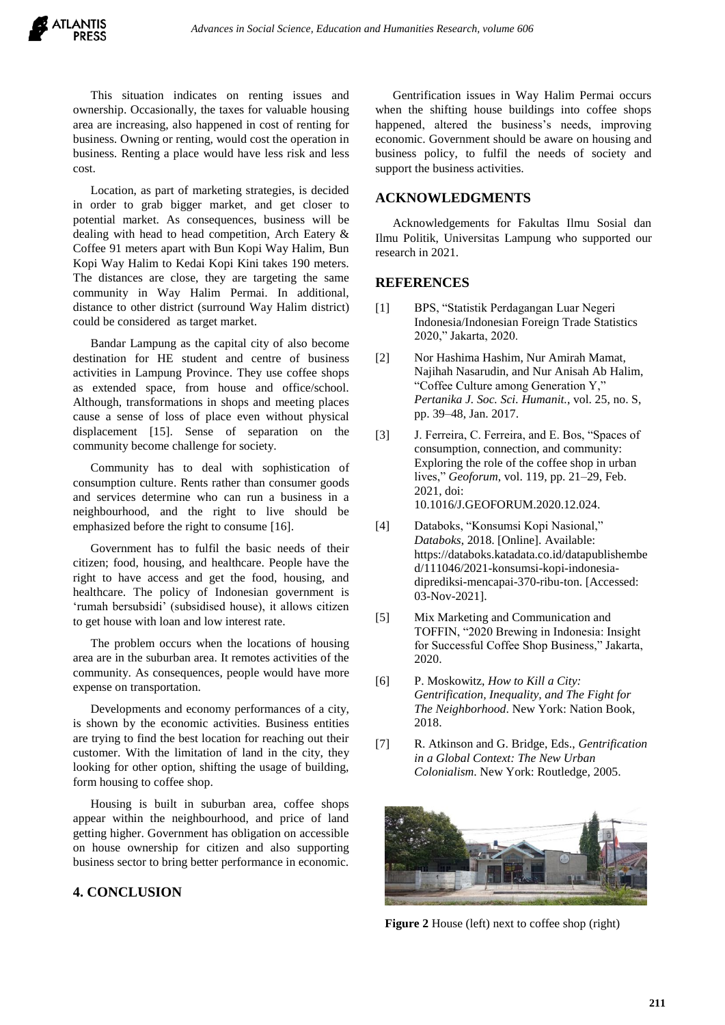This situation indicates on renting issues and ownership. Occasionally, the taxes for valuable housing area are increasing, also happened in cost of renting for business. Owning or renting, would cost the operation in business. Renting a place would have less risk and less cost.

Location, as part of marketing strategies, is decided in order to grab bigger market, and get closer to potential market. As consequences, business will be dealing with head to head competition, Arch Eatery & Coffee 91 meters apart with Bun Kopi Way Halim, Bun Kopi Way Halim to Kedai Kopi Kini takes 190 meters. The distances are close, they are targeting the same community in Way Halim Permai. In additional, distance to other district (surround Way Halim district) could be considered as target market.

Bandar Lampung as the capital city of also become destination for HE student and centre of business activities in Lampung Province. They use coffee shops as extended space, from house and office/school. Although, transformations in shops and meeting places cause a sense of loss of place even without physical displacement [15]. Sense of separation on the community become challenge for society.

Community has to deal with sophistication of consumption culture. Rents rather than consumer goods and services determine who can run a business in a neighbourhood, and the right to live should be emphasized before the right to consume [16].

Government has to fulfil the basic needs of their citizen; food, housing, and healthcare. People have the right to have access and get the food, housing, and healthcare. The policy of Indonesian government is 'rumah bersubsidi' (subsidised house), it allows citizen to get house with loan and low interest rate.

The problem occurs when the locations of housing area are in the suburban area. It remotes activities of the community. As consequences, people would have more expense on transportation.

Developments and economy performances of a city, is shown by the economic activities. Business entities are trying to find the best location for reaching out their customer. With the limitation of land in the city, they looking for other option, shifting the usage of building, form housing to coffee shop.

Housing is built in suburban area, coffee shops appear within the neighbourhood, and price of land getting higher. Government has obligation on accessible on house ownership for citizen and also supporting business sector to bring better performance in economic.

# **4. CONCLUSION**

Gentrification issues in Way Halim Permai occurs when the shifting house buildings into coffee shops happened, altered the business's needs, improving economic. Government should be aware on housing and business policy, to fulfil the needs of society and support the business activities.

### **ACKNOWLEDGMENTS**

Acknowledgements for Fakultas Ilmu Sosial dan Ilmu Politik, Universitas Lampung who supported our research in 2021.

#### **REFERENCES**

- [1] BPS, "Statistik Perdagangan Luar Negeri Indonesia/Indonesian Foreign Trade Statistics 2020," Jakarta, 2020.
- [2] Nor Hashima Hashim, Nur Amirah Mamat, Najihah Nasarudin, and Nur Anisah Ab Halim, "Coffee Culture among Generation Y," *Pertanika J. Soc. Sci. Humanit.*, vol. 25, no. S, pp. 39–48, Jan. 2017.
- [3] J. Ferreira, C. Ferreira, and E. Bos, "Spaces of consumption, connection, and community: Exploring the role of the coffee shop in urban lives," *Geoforum*, vol. 119, pp. 21–29, Feb. 2021, doi: 10.1016/J.GEOFORUM.2020.12.024.
- [4] Databoks, "Konsumsi Kopi Nasional," *Databoks*, 2018. [Online]. Available: https://databoks.katadata.co.id/datapublishembe d/111046/2021-konsumsi-kopi-indonesiadiprediksi-mencapai-370-ribu-ton. [Accessed: 03-Nov-2021].
- [5] Mix Marketing and Communication and TOFFIN, "2020 Brewing in Indonesia: Insight for Successful Coffee Shop Business," Jakarta, 2020.
- [6] P. Moskowitz, *How to Kill a City: Gentrification, Inequality, and The Fight for The Neighborhood*. New York: Nation Book, 2018.
- [7] R. Atkinson and G. Bridge, Eds., *Gentrification in a Global Context: The New Urban Colonialism*. New York: Routledge, 2005.



**Figure 2** House (left) next to coffee shop (right)